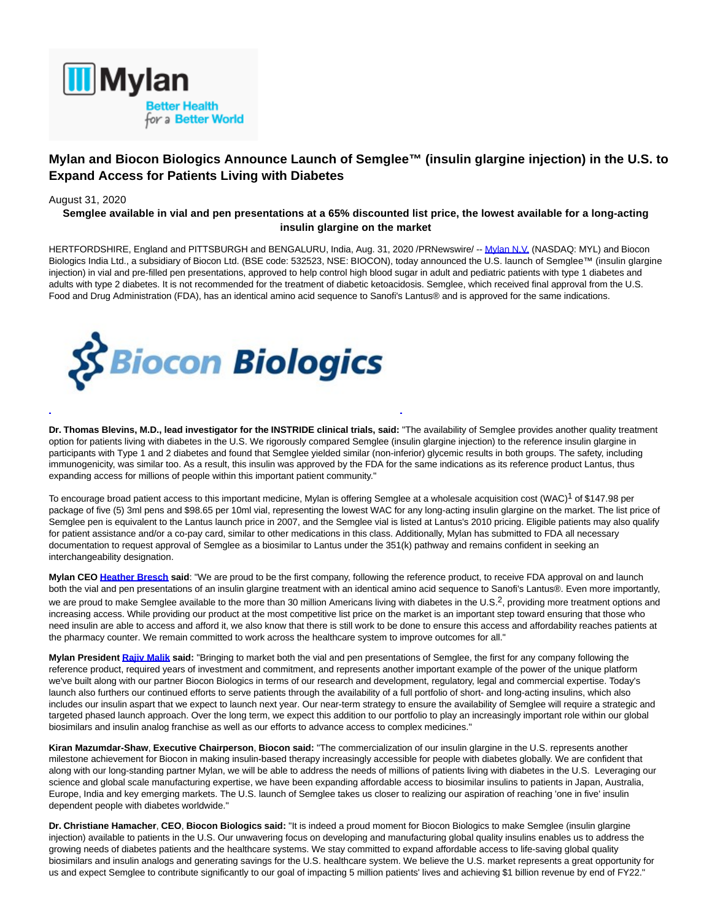

# **Mylan and Biocon Biologics Announce Launch of Semglee™ (insulin glargine injection) in the U.S. to Expand Access for Patients Living with Diabetes**

## August 31, 2020

## **Semglee available in vial and pen presentations at a 65% discounted list price, the lowest available for a long-acting insulin glargine on the market**

HERTFORDSHIRE, England and PITTSBURGH and BENGALURU, India, Aug. 31, 2020 /PRNewswire/ -[- Mylan N.V. \(](https://c212.net/c/link/?t=0&l=en&o=2903178-1&h=3023402771&u=http%3A%2F%2Fwww.mylan.com%2F&a=Mylan+N.V.)NASDAQ: MYL) and Biocon Biologics India Ltd., a subsidiary of Biocon Ltd. (BSE code: 532523, NSE: BIOCON), today announced the U.S. launch of Semglee™ (insulin glargine injection) in vial and pre-filled pen presentations, approved to help control high blood sugar in adult and pediatric patients with type 1 diabetes and adults with type 2 diabetes. It is not recommended for the treatment of diabetic ketoacidosis. Semglee, which received final approval from the U.S. Food and Drug Administration (FDA), has an identical amino acid sequence to Sanofi's Lantus® and is approved for the same indications.



**Dr. Thomas Blevins, M.D., lead investigator for the INSTRIDE clinical trials, said:** "The availability of Semglee provides another quality treatment option for patients living with diabetes in the U.S. We rigorously compared Semglee (insulin glargine injection) to the reference insulin glargine in participants with Type 1 and 2 diabetes and found that Semglee yielded similar (non-inferior) glycemic results in both groups. The safety, including immunogenicity, was similar too. As a result, this insulin was approved by the FDA for the same indications as its reference product Lantus, thus expanding access for millions of people within this important patient community."

To encourage broad patient access to this important medicine, Mylan is offering Semglee at a wholesale acquisition cost (WAC)<sup>1</sup> of \$147.98 per package of five (5) 3ml pens and \$98.65 per 10ml vial, representing the lowest WAC for any long-acting insulin glargine on the market. The list price of Semglee pen is equivalent to the Lantus launch price in 2007, and the Semglee vial is listed at Lantus's 2010 pricing. Eligible patients may also qualify for patient assistance and/or a co-pay card, similar to other medications in this class. Additionally, Mylan has submitted to FDA all necessary documentation to request approval of Semglee as a biosimilar to Lantus under the 351(k) pathway and remains confident in seeking an interchangeability designation.

**Mylan CE[O Heather Bresch s](https://c212.net/c/link/?t=0&l=en&o=2903178-1&h=1517182263&u=https%3A%2F%2Fwww.mylan.com%2Fabout-mylan%2Fleadership%2Fceo-heather-bresch&a=Heather+Bresch)aid**: "We are proud to be the first company, following the reference product, to receive FDA approval on and launch both the vial and pen presentations of an insulin glargine treatment with an identical amino acid sequence to Sanofi's Lantus®. Even more importantly, we are proud to make Semglee available to the more than 30 million Americans living with diabetes in the U.S.<sup>2</sup>, providing more treatment options and increasing access. While providing our product at the most competitive list price on the market is an important step toward ensuring that those who need insulin are able to access and afford it, we also know that there is still work to be done to ensure this access and affordability reaches patients at the pharmacy counter. We remain committed to work across the healthcare system to improve outcomes for all."

**Mylan Presiden[t Rajiv Malik s](https://c212.net/c/link/?t=0&l=en&o=2903178-1&h=106274889&u=https%3A%2F%2Fwww.mylan.com%2Fen%2Fabout-mylan%2Fleadership%2Fpresident-rajiv-malik&a=Rajiv+Malik)aid:** "Bringing to market both the vial and pen presentations of Semglee, the first for any company following the reference product, required years of investment and commitment, and represents another important example of the power of the unique platform we've built along with our partner Biocon Biologics in terms of our research and development, regulatory, legal and commercial expertise. Today's launch also furthers our continued efforts to serve patients through the availability of a full portfolio of short- and long-acting insulins, which also includes our insulin aspart that we expect to launch next year. Our near-term strategy to ensure the availability of Semglee will require a strategic and targeted phased launch approach. Over the long term, we expect this addition to our portfolio to play an increasingly important role within our global biosimilars and insulin analog franchise as well as our efforts to advance access to complex medicines."

**Kiran Mazumdar-Shaw**, **Executive Chairperson**, **Biocon said:** "The commercialization of our insulin glargine in the U.S. represents another milestone achievement for Biocon in making insulin-based therapy increasingly accessible for people with diabetes globally. We are confident that along with our long-standing partner Mylan, we will be able to address the needs of millions of patients living with diabetes in the U.S. Leveraging our science and global scale manufacturing expertise, we have been expanding affordable access to biosimilar insulins to patients in Japan, Australia, Europe, India and key emerging markets. The U.S. launch of Semglee takes us closer to realizing our aspiration of reaching 'one in five' insulin dependent people with diabetes worldwide."

**Dr. Christiane Hamacher**, **CEO**, **Biocon Biologics said:** "It is indeed a proud moment for Biocon Biologics to make Semglee (insulin glargine injection) available to patients in the U.S. Our unwavering focus on developing and manufacturing global quality insulins enables us to address the growing needs of diabetes patients and the healthcare systems. We stay committed to expand affordable access to life-saving global quality biosimilars and insulin analogs and generating savings for the U.S. healthcare system. We believe the U.S. market represents a great opportunity for us and expect Semglee to contribute significantly to our goal of impacting 5 million patients' lives and achieving \$1 billion revenue by end of FY22."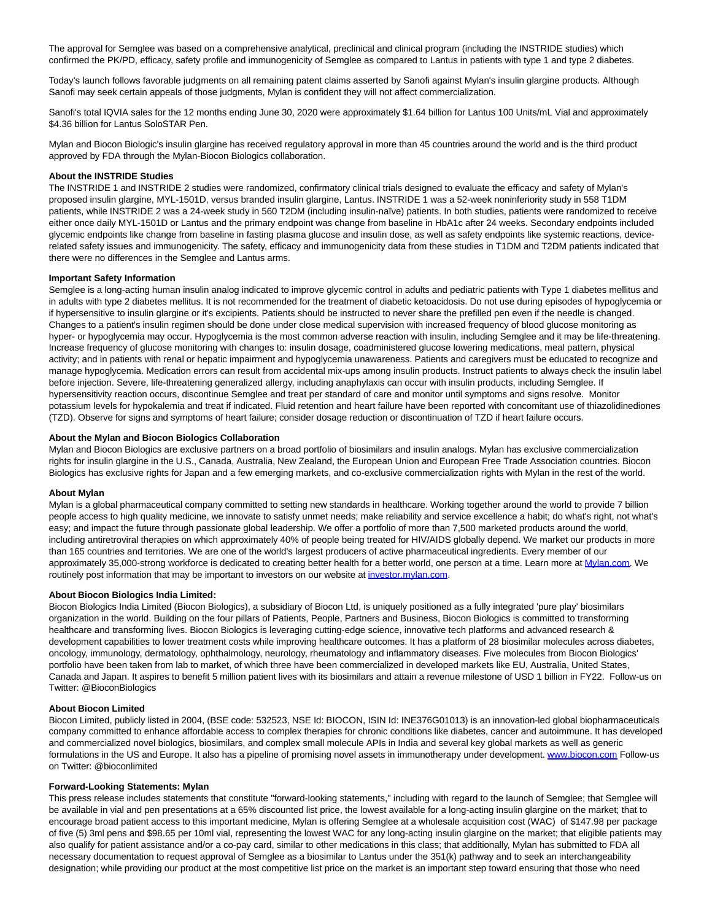The approval for Semglee was based on a comprehensive analytical, preclinical and clinical program (including the INSTRIDE studies) which confirmed the PK/PD, efficacy, safety profile and immunogenicity of Semglee as compared to Lantus in patients with type 1 and type 2 diabetes.

Today's launch follows favorable judgments on all remaining patent claims asserted by Sanofi against Mylan's insulin glargine products. Although Sanofi may seek certain appeals of those judgments, Mylan is confident they will not affect commercialization.

Sanofi's total IQVIA sales for the 12 months ending June 30, 2020 were approximately \$1.64 billion for Lantus 100 Units/mL Vial and approximately \$4.36 billion for Lantus SoloSTAR Pen.

Mylan and Biocon Biologic's insulin glargine has received regulatory approval in more than 45 countries around the world and is the third product approved by FDA through the Mylan-Biocon Biologics collaboration.

## **About the INSTRIDE Studies**

The INSTRIDE 1 and INSTRIDE 2 studies were randomized, confirmatory clinical trials designed to evaluate the efficacy and safety of Mylan's proposed insulin glargine, MYL-1501D, versus branded insulin glargine, Lantus. INSTRIDE 1 was a 52-week noninferiority study in 558 T1DM patients, while INSTRIDE 2 was a 24-week study in 560 T2DM (including insulin-naïve) patients. In both studies, patients were randomized to receive either once daily MYL-1501D or Lantus and the primary endpoint was change from baseline in HbA1c after 24 weeks. Secondary endpoints included glycemic endpoints like change from baseline in fasting plasma glucose and insulin dose, as well as safety endpoints like systemic reactions, devicerelated safety issues and immunogenicity. The safety, efficacy and immunogenicity data from these studies in T1DM and T2DM patients indicated that there were no differences in the Semglee and Lantus arms.

#### **Important Safety Information**

Semglee is a long-acting human insulin analog indicated to improve glycemic control in adults and pediatric patients with Type 1 diabetes mellitus and in adults with type 2 diabetes mellitus. It is not recommended for the treatment of diabetic ketoacidosis. Do not use during episodes of hypoglycemia or if hypersensitive to insulin glargine or it's excipients. Patients should be instructed to never share the prefilled pen even if the needle is changed. Changes to a patient's insulin regimen should be done under close medical supervision with increased frequency of blood glucose monitoring as hyper- or hypoglycemia may occur. Hypoglycemia is the most common adverse reaction with insulin, including Semglee and it may be life-threatening. Increase frequency of glucose monitoring with changes to: insulin dosage, coadministered glucose lowering medications, meal pattern, physical activity; and in patients with renal or hepatic impairment and hypoglycemia unawareness. Patients and caregivers must be educated to recognize and manage hypoglycemia. Medication errors can result from accidental mix-ups among insulin products. Instruct patients to always check the insulin label before injection. Severe, life-threatening generalized allergy, including anaphylaxis can occur with insulin products, including Semglee. If hypersensitivity reaction occurs, discontinue Semglee and treat per standard of care and monitor until symptoms and signs resolve. Monitor potassium levels for hypokalemia and treat if indicated. Fluid retention and heart failure have been reported with concomitant use of thiazolidinediones (TZD). Observe for signs and symptoms of heart failure; consider dosage reduction or discontinuation of TZD if heart failure occurs.

#### **About the Mylan and Biocon Biologics Collaboration**

Mylan and Biocon Biologics are exclusive partners on a broad portfolio of biosimilars and insulin analogs. Mylan has exclusive commercialization rights for insulin glargine in the U.S., Canada, Australia, New Zealand, the European Union and European Free Trade Association countries. Biocon Biologics has exclusive rights for Japan and a few emerging markets, and co-exclusive commercialization rights with Mylan in the rest of the world.

#### **About Mylan**

Mylan is a global pharmaceutical company committed to setting new standards in healthcare. Working together around the world to provide 7 billion people access to high quality medicine, we innovate to satisfy unmet needs; make reliability and service excellence a habit; do what's right, not what's easy; and impact the future through passionate global leadership. We offer a portfolio of more than 7,500 marketed products around the world, including antiretroviral therapies on which approximately 40% of people being treated for HIV/AIDS globally depend. We market our products in more than 165 countries and territories. We are one of the world's largest producers of active pharmaceutical ingredients. Every member of our approximately 35,000-strong workforce is dedicated to creating better health for a better world, one person at a time. Learn more at [Mylan.com.](https://c212.net/c/link/?t=0&l=en&o=2903178-1&h=3859695926&u=http%3A%2F%2Fwww.mylan.com%2F&a=Mylan.com) We routinely post information that may be important to investors on our website at [investor.mylan.com.](https://c212.net/c/link/?t=0&l=en&o=2903178-1&h=2188302815&u=https%3A%2F%2Finvestor.mylan.com%2F&a=investor.mylan.com)

#### **About Biocon Biologics India Limited:**

Biocon Biologics India Limited (Biocon Biologics), a subsidiary of Biocon Ltd, is uniquely positioned as a fully integrated 'pure play' biosimilars organization in the world. Building on the four pillars of Patients, People, Partners and Business, Biocon Biologics is committed to transforming healthcare and transforming lives. Biocon Biologics is leveraging cutting-edge science, innovative tech platforms and advanced research & development capabilities to lower treatment costs while improving healthcare outcomes. It has a platform of 28 biosimilar molecules across diabetes, oncology, immunology, dermatology, ophthalmology, neurology, rheumatology and inflammatory diseases. Five molecules from Biocon Biologics' portfolio have been taken from lab to market, of which three have been commercialized in developed markets like EU, Australia, United States, Canada and Japan. It aspires to benefit 5 million patient lives with its biosimilars and attain a revenue milestone of USD 1 billion in FY22. Follow-us on Twitter: @BioconBiologics

#### **About Biocon Limited**

Biocon Limited, publicly listed in 2004, (BSE code: 532523, NSE Id: BIOCON, ISIN Id: INE376G01013) is an innovation-led global biopharmaceuticals company committed to enhance affordable access to complex therapies for chronic conditions like diabetes, cancer and autoimmune. It has developed and commercialized novel biologics, biosimilars, and complex small molecule APIs in India and several key global markets as well as generic formulations in the US and Europe. It also has a pipeline of promising novel assets in immunotherapy under development. [www.biocon.com F](https://c212.net/c/link/?t=0&l=en&o=2903178-1&h=1112232713&u=http%3A%2F%2Fwww.biocon.com%2F&a=www.biocon.com)ollow-us on Twitter: @bioconlimited

### **Forward-Looking Statements: Mylan**

This press release includes statements that constitute "forward-looking statements," including with regard to the launch of Semglee; that Semglee will be available in vial and pen presentations at a 65% discounted list price, the lowest available for a long-acting insulin glargine on the market; that to encourage broad patient access to this important medicine, Mylan is offering Semglee at a wholesale acquisition cost (WAC) of \$147.98 per package of five (5) 3ml pens and \$98.65 per 10ml vial, representing the lowest WAC for any long-acting insulin glargine on the market; that eligible patients may also qualify for patient assistance and/or a co-pay card, similar to other medications in this class; that additionally, Mylan has submitted to FDA all necessary documentation to request approval of Semglee as a biosimilar to Lantus under the 351(k) pathway and to seek an interchangeability designation; while providing our product at the most competitive list price on the market is an important step toward ensuring that those who need